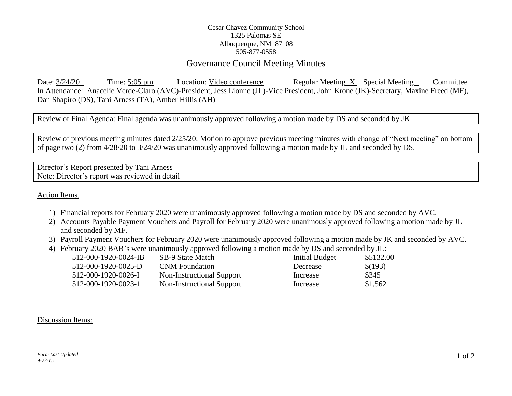## Cesar Chavez Community School 1325 Palomas SE Albuquerque, NM 87108 505-877-0558

## Governance Council Meeting Minutes

Date:  $3/24/20$  Time: 5:05 pm Location: Video conference Regular Meeting X Special Meeting Committee In Attendance: Anacelie Verde-Claro (AVC)-President, Jess Lionne (JL)-Vice President, John Krone (JK)-Secretary, Maxine Freed (MF), Dan Shapiro (DS), Tani Arness (TA), Amber Hillis (AH)

Review of Final Agenda: Final agenda was unanimously approved following a motion made by DS and seconded by JK.

Review of previous meeting minutes dated 2/25/20: Motion to approve previous meeting minutes with change of "Next meeting" on bottom of page two (2) from 4/28/20 to 3/24/20 was unanimously approved following a motion made by JL and seconded by DS.

Director's Report presented by Tani Arness Note: Director's report was reviewed in detail

Action Items:

- 1) Financial reports for February 2020 were unanimously approved following a motion made by DS and seconded by AVC.
- 2) Accounts Payable Payment Vouchers and Payroll for February 2020 were unanimously approved following a motion made by JL and seconded by MF.
- 3) Payroll Payment Vouchers for February 2020 were unanimously approved following a motion made by JK and seconded by AVC.
- 4) February 2020 BAR's were unanimously approved following a motion made by DS and seconded by JL:

| 512-000-1920-0024-IB | SB-9 State Match          | Initial Budget | \$5132.00 |
|----------------------|---------------------------|----------------|-----------|
| 512-000-1920-0025-D  | <b>CNM</b> Foundation     | Decrease       | \$(193)   |
| 512-000-1920-0026-I  | Non-Instructional Support | Increase       | \$345     |
| 512-000-1920-0023-1  | Non-Instructional Support | Increase       | \$1,562   |

## Discussion Items: